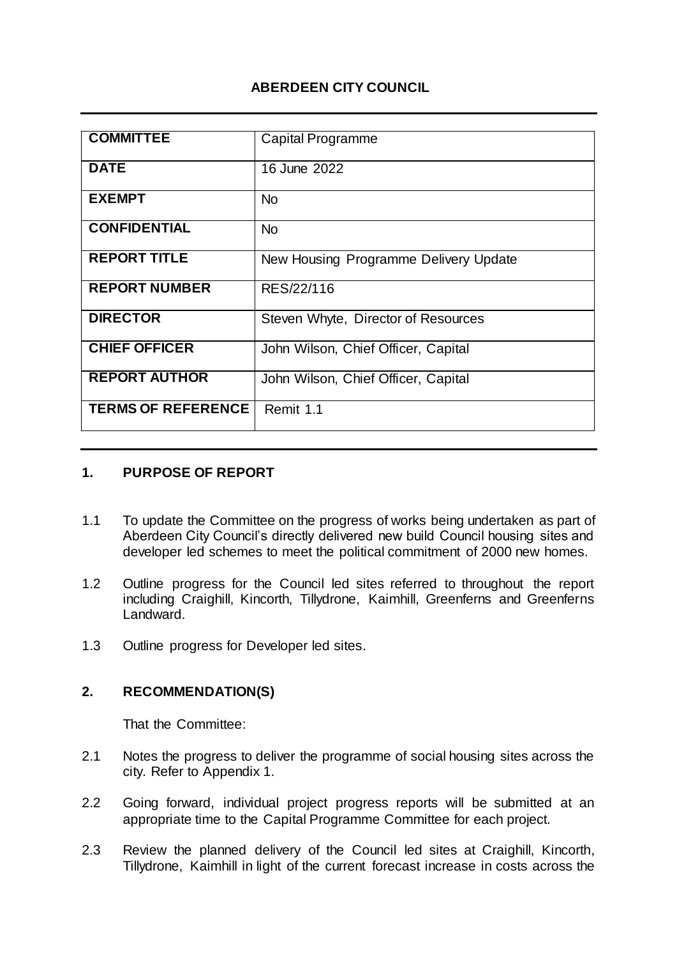# **ABERDEEN CITY COUNCIL**

| <b>COMMITTEE</b>          | Capital Programme                     |
|---------------------------|---------------------------------------|
| <b>DATE</b>               | 16 June 2022                          |
| <b>EXEMPT</b>             | <b>No</b>                             |
| <b>CONFIDENTIAL</b>       | <b>No</b>                             |
| <b>REPORT TITLE</b>       | New Housing Programme Delivery Update |
| <b>REPORT NUMBER</b>      | RES/22/116                            |
| <b>DIRECTOR</b>           | Steven Whyte, Director of Resources   |
| <b>CHIEF OFFICER</b>      | John Wilson, Chief Officer, Capital   |
| <b>REPORT AUTHOR</b>      | John Wilson, Chief Officer, Capital   |
| <b>TERMS OF REFERENCE</b> | Remit 1.1                             |

#### **1. PURPOSE OF REPORT**

- 1.1 To update the Committee on the progress of works being undertaken as part of Aberdeen City Council's directly delivered new build Council housing sites and developer led schemes to meet the political commitment of 2000 new homes.
- 1.2 Outline progress for the Council led sites referred to throughout the report including Craighill, Kincorth, Tillydrone, Kaimhill, Greenferns and Greenferns Landward.
- 1.3 Outline progress for Developer led sites.

# **2. RECOMMENDATION(S)**

That the Committee:

- 2.1 Notes the progress to deliver the programme of social housing sites across the city. Refer to Appendix 1.
- 2.2 Going forward, individual project progress reports will be submitted at an appropriate time to the Capital Programme Committee for each project.
- 2.3 Review the planned delivery of the Council led sites at Craighill, Kincorth, Tillydrone, Kaimhill in light of the current forecast increase in costs across the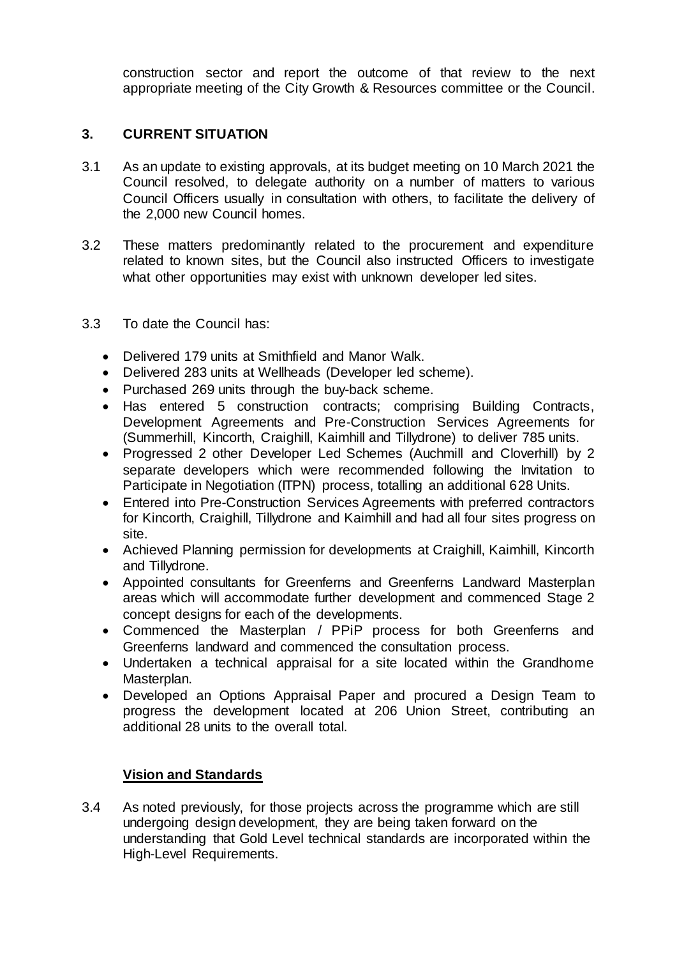construction sector and report the outcome of that review to the next appropriate meeting of the City Growth & Resources committee or the Council.

### **3. CURRENT SITUATION**

- 3.1 As an update to existing approvals, at its budget meeting on 10 March 2021 the Council resolved, to delegate authority on a number of matters to various Council Officers usually in consultation with others, to facilitate the delivery of the 2,000 new Council homes.
- 3.2 These matters predominantly related to the procurement and expenditure related to known sites, but the Council also instructed Officers to investigate what other opportunities may exist with unknown developer led sites.
- 3.3 To date the Council has:
	- Delivered 179 units at Smithfield and Manor Walk.
	- Delivered 283 units at Wellheads (Developer led scheme).
	- Purchased 269 units through the buy-back scheme.
	- Has entered 5 construction contracts: comprising Building Contracts, Development Agreements and Pre-Construction Services Agreements for (Summerhill, Kincorth, Craighill, Kaimhill and Tillydrone) to deliver 785 units.
	- Progressed 2 other Developer Led Schemes (Auchmill and Cloverhill) by 2 separate developers which were recommended following the Invitation to Participate in Negotiation (ITPN) process, totalling an additional 628 Units.
	- Entered into Pre-Construction Services Agreements with preferred contractors for Kincorth, Craighill, Tillydrone and Kaimhill and had all four sites progress on site.
	- Achieved Planning permission for developments at Craighill, Kaimhill, Kincorth and Tillydrone.
	- Appointed consultants for Greenferns and Greenferns Landward Masterplan areas which will accommodate further development and commenced Stage 2 concept designs for each of the developments.
	- Commenced the Masterplan / PPiP process for both Greenferns and Greenferns landward and commenced the consultation process.
	- Undertaken a technical appraisal for a site located within the Grandhome Masterplan.
	- Developed an Options Appraisal Paper and procured a Design Team to progress the development located at 206 Union Street, contributing an additional 28 units to the overall total.

# **Vision and Standards**

3.4 As noted previously, for those projects across the programme which are still undergoing design development, they are being taken forward on the understanding that Gold Level technical standards are incorporated within the High-Level Requirements.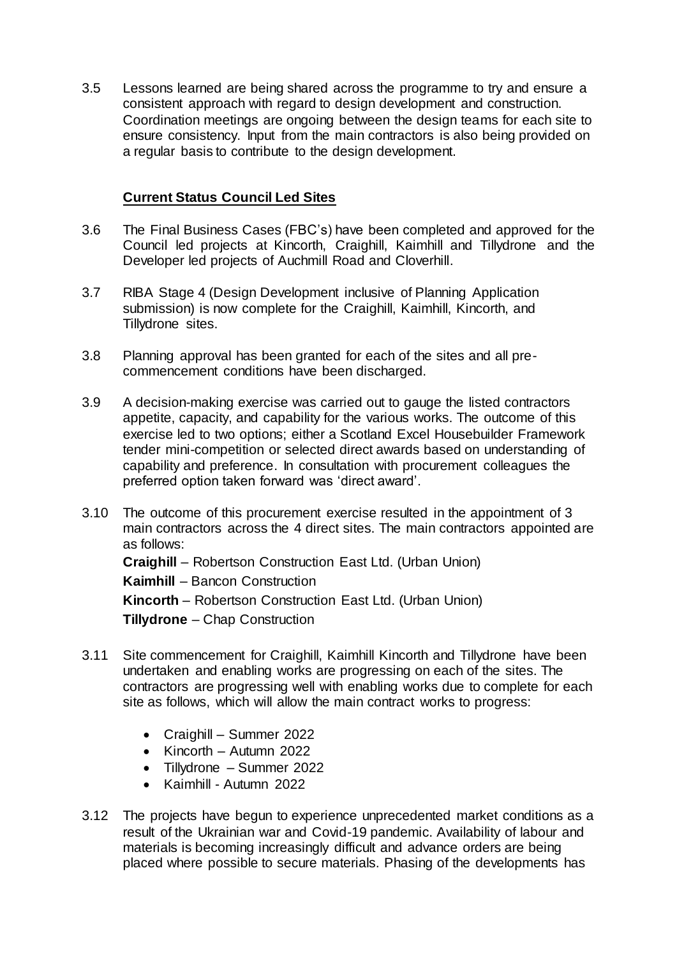3.5 Lessons learned are being shared across the programme to try and ensure a consistent approach with regard to design development and construction. Coordination meetings are ongoing between the design teams for each site to ensure consistency. Input from the main contractors is also being provided on a regular basis to contribute to the design development.

### **Current Status Council Led Sites**

- 3.6 The Final Business Cases (FBC's) have been completed and approved for the Council led projects at Kincorth, Craighill, Kaimhill and Tillydrone and the Developer led projects of Auchmill Road and Cloverhill.
- 3.7 RIBA Stage 4 (Design Development inclusive of Planning Application submission) is now complete for the Craighill, Kaimhill, Kincorth, and Tillydrone sites.
- 3.8 Planning approval has been granted for each of the sites and all precommencement conditions have been discharged.
- 3.9 A decision-making exercise was carried out to gauge the listed contractors appetite, capacity, and capability for the various works. The outcome of this exercise led to two options; either a Scotland Excel Housebuilder Framework tender mini-competition or selected direct awards based on understanding of capability and preference. In consultation with procurement colleagues the preferred option taken forward was 'direct award'.
- 3.10 The outcome of this procurement exercise resulted in the appointment of 3 main contractors across the 4 direct sites. The main contractors appointed are as follows:

**Craighill** – Robertson Construction East Ltd. (Urban Union) **Kaimhill** – Bancon Construction **Kincorth** – Robertson Construction East Ltd. (Urban Union) **Tillydrone** – Chap Construction

- 3.11 Site commencement for Craighill, Kaimhill Kincorth and Tillydrone have been undertaken and enabling works are progressing on each of the sites. The contractors are progressing well with enabling works due to complete for each site as follows, which will allow the main contract works to progress:
	- Craighill Summer 2022
	- $\bullet$  Kincorth Autumn 2022
	- Tillydrone Summer 2022
	- Kaimhill Autumn 2022
- 3.12 The projects have begun to experience unprecedented market conditions as a result of the Ukrainian war and Covid-19 pandemic. Availability of labour and materials is becoming increasingly difficult and advance orders are being placed where possible to secure materials. Phasing of the developments has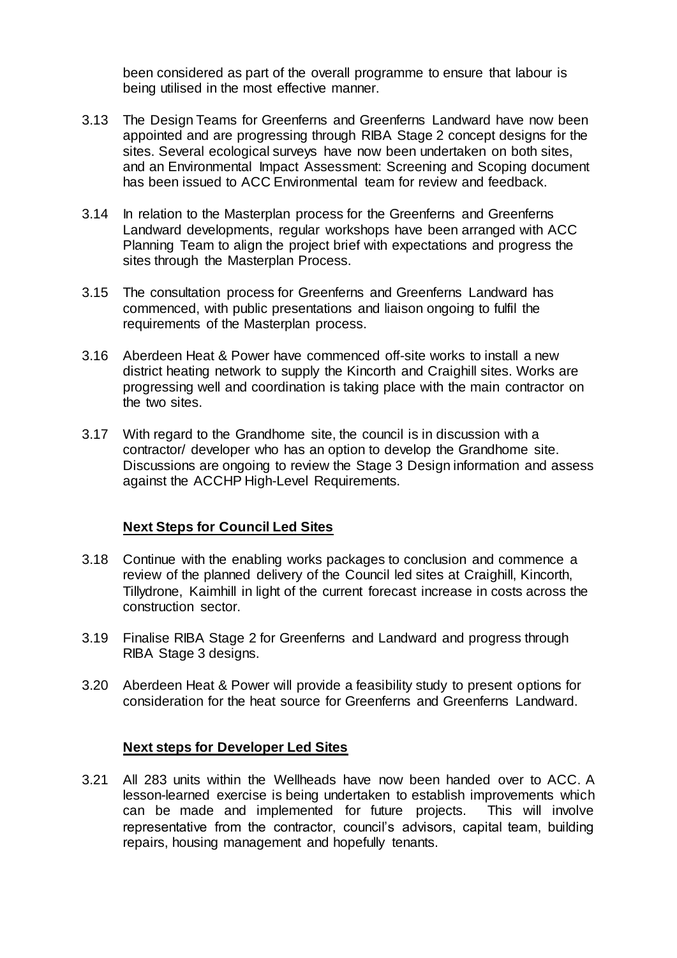been considered as part of the overall programme to ensure that labour is being utilised in the most effective manner.

- 3.13 The Design Teams for Greenferns and Greenferns Landward have now been appointed and are progressing through RIBA Stage 2 concept designs for the sites. Several ecological surveys have now been undertaken on both sites, and an Environmental Impact Assessment: Screening and Scoping document has been issued to ACC Environmental team for review and feedback.
- 3.14 In relation to the Masterplan process for the Greenferns and Greenferns Landward developments, regular workshops have been arranged with ACC Planning Team to align the project brief with expectations and progress the sites through the Masterplan Process.
- 3.15 The consultation process for Greenferns and Greenferns Landward has commenced, with public presentations and liaison ongoing to fulfil the requirements of the Masterplan process.
- 3.16 Aberdeen Heat & Power have commenced off-site works to install a new district heating network to supply the Kincorth and Craighill sites. Works are progressing well and coordination is taking place with the main contractor on the two sites.
- 3.17 With regard to the Grandhome site, the council is in discussion with a contractor/ developer who has an option to develop the Grandhome site. Discussions are ongoing to review the Stage 3 Design information and assess against the ACCHP High-Level Requirements.

#### **Next Steps for Council Led Sites**

- 3.18 Continue with the enabling works packages to conclusion and commence a review of the planned delivery of the Council led sites at Craighill, Kincorth, Tillydrone, Kaimhill in light of the current forecast increase in costs across the construction sector.
- 3.19 Finalise RIBA Stage 2 for Greenferns and Landward and progress through RIBA Stage 3 designs.
- 3.20 Aberdeen Heat & Power will provide a feasibility study to present options for consideration for the heat source for Greenferns and Greenferns Landward.

#### **Next steps for Developer Led Sites**

3.21 All 283 units within the Wellheads have now been handed over to ACC. A lesson-learned exercise is being undertaken to establish improvements which can be made and implemented for future projects. This will involve representative from the contractor, council's advisors, capital team, building repairs, housing management and hopefully tenants.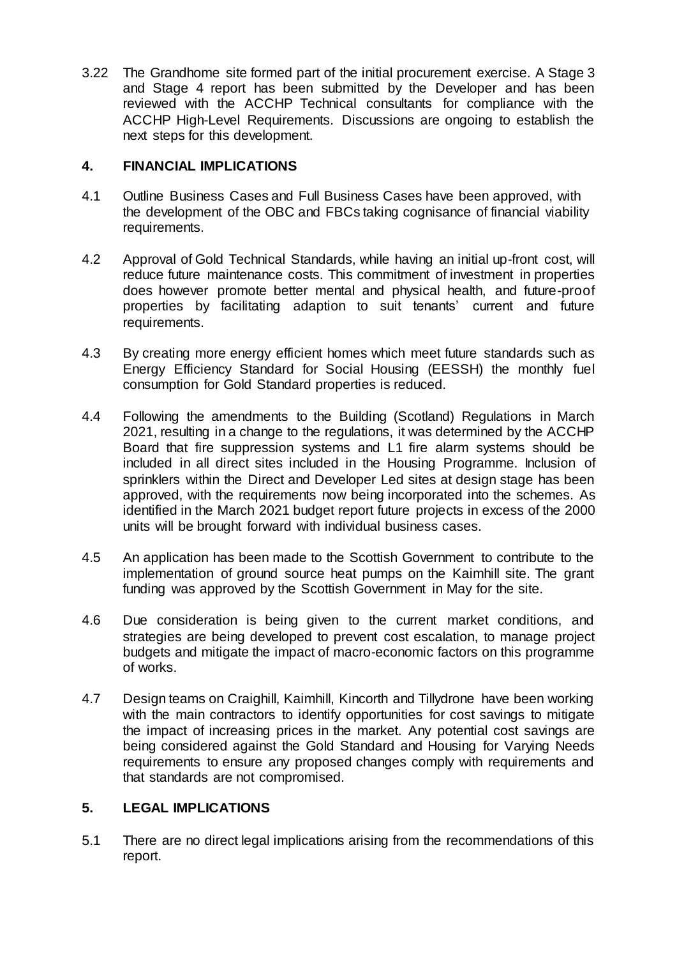3.22 The Grandhome site formed part of the initial procurement exercise. A Stage 3 and Stage 4 report has been submitted by the Developer and has been reviewed with the ACCHP Technical consultants for compliance with the ACCHP High-Level Requirements. Discussions are ongoing to establish the next steps for this development.

#### **4. FINANCIAL IMPLICATIONS**

- 4.1 Outline Business Cases and Full Business Cases have been approved, with the development of the OBC and FBCs taking cognisance of financial viability requirements.
- 4.2 Approval of Gold Technical Standards, while having an initial up-front cost, will reduce future maintenance costs. This commitment of investment in properties does however promote better mental and physical health, and future-proof properties by facilitating adaption to suit tenants' current and future requirements.
- 4.3 By creating more energy efficient homes which meet future standards such as Energy Efficiency Standard for Social Housing (EESSH) the monthly fuel consumption for Gold Standard properties is reduced.
- 4.4 Following the amendments to the Building (Scotland) Regulations in March 2021, resulting in a change to the regulations, it was determined by the ACCHP Board that fire suppression systems and L1 fire alarm systems should be included in all direct sites included in the Housing Programme. Inclusion of sprinklers within the Direct and Developer Led sites at design stage has been approved, with the requirements now being incorporated into the schemes. As identified in the March 2021 budget report future projects in excess of the 2000 units will be brought forward with individual business cases.
- 4.5 An application has been made to the Scottish Government to contribute to the implementation of ground source heat pumps on the Kaimhill site. The grant funding was approved by the Scottish Government in May for the site.
- 4.6 Due consideration is being given to the current market conditions, and strategies are being developed to prevent cost escalation, to manage project budgets and mitigate the impact of macro-economic factors on this programme of works.
- 4.7 Design teams on Craighill, Kaimhill, Kincorth and Tillydrone have been working with the main contractors to identify opportunities for cost savings to mitigate the impact of increasing prices in the market. Any potential cost savings are being considered against the Gold Standard and Housing for Varying Needs requirements to ensure any proposed changes comply with requirements and that standards are not compromised.

# **5. LEGAL IMPLICATIONS**

5.1 There are no direct legal implications arising from the recommendations of this report.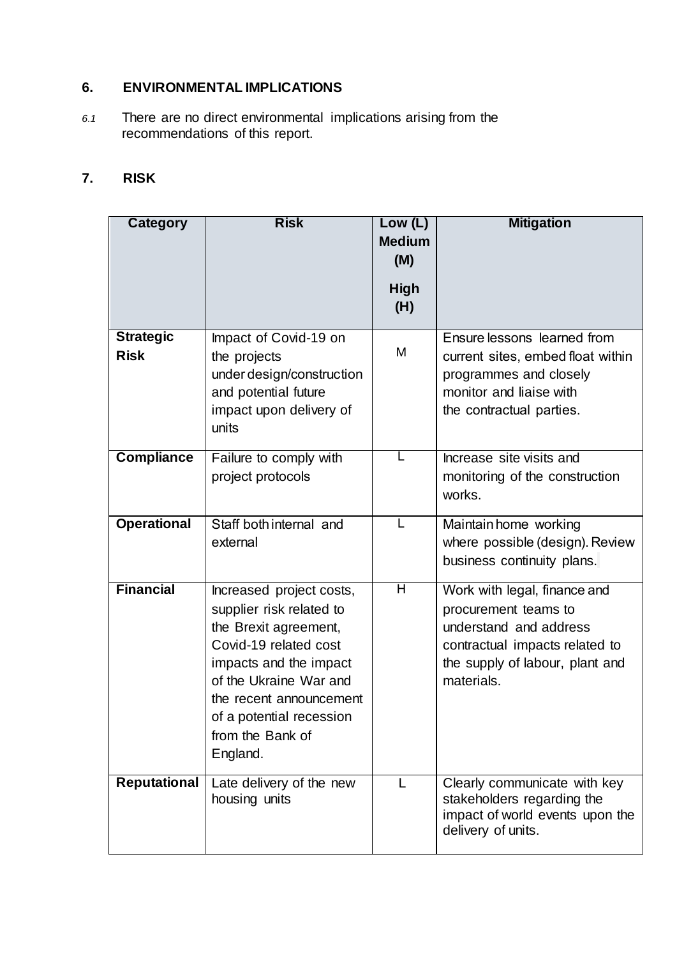# **6. ENVIRONMENTAL IMPLICATIONS**

*6.1* There are no direct environmental implications arising from the recommendations of this report.

# **7. RISK**

| Category                        | <b>Risk</b>                                                                                                                                                                                                                                       | Low (L)<br><b>Medium</b><br>(M)<br><b>High</b><br>(H) | <b>Mitigation</b>                                                                                                                                                 |
|---------------------------------|---------------------------------------------------------------------------------------------------------------------------------------------------------------------------------------------------------------------------------------------------|-------------------------------------------------------|-------------------------------------------------------------------------------------------------------------------------------------------------------------------|
| <b>Strategic</b><br><b>Risk</b> | Impact of Covid-19 on<br>the projects<br>under design/construction<br>and potential future<br>impact upon delivery of<br>units                                                                                                                    | M                                                     | Ensure lessons learned from<br>current sites, embed float within<br>programmes and closely<br>monitor and liaise with<br>the contractual parties.                 |
| <b>Compliance</b>               | Failure to comply with<br>project protocols                                                                                                                                                                                                       |                                                       | Increase site visits and<br>monitoring of the construction<br>works.                                                                                              |
| <b>Operational</b>              | Staff both internal and<br>external                                                                                                                                                                                                               | L                                                     | Maintain home working<br>where possible (design). Review<br>business continuity plans.                                                                            |
| <b>Financial</b>                | Increased project costs,<br>supplier risk related to<br>the Brexit agreement,<br>Covid-19 related cost<br>impacts and the impact<br>of the Ukraine War and<br>the recent announcement<br>of a potential recession<br>from the Bank of<br>England. | Η                                                     | Work with legal, finance and<br>procurement teams to<br>understand and address<br>contractual impacts related to<br>the supply of labour, plant and<br>materials. |
| <b>Reputational</b>             | Late delivery of the new<br>housing units                                                                                                                                                                                                         | L                                                     | Clearly communicate with key<br>stakeholders regarding the<br>impact of world events upon the<br>delivery of units.                                               |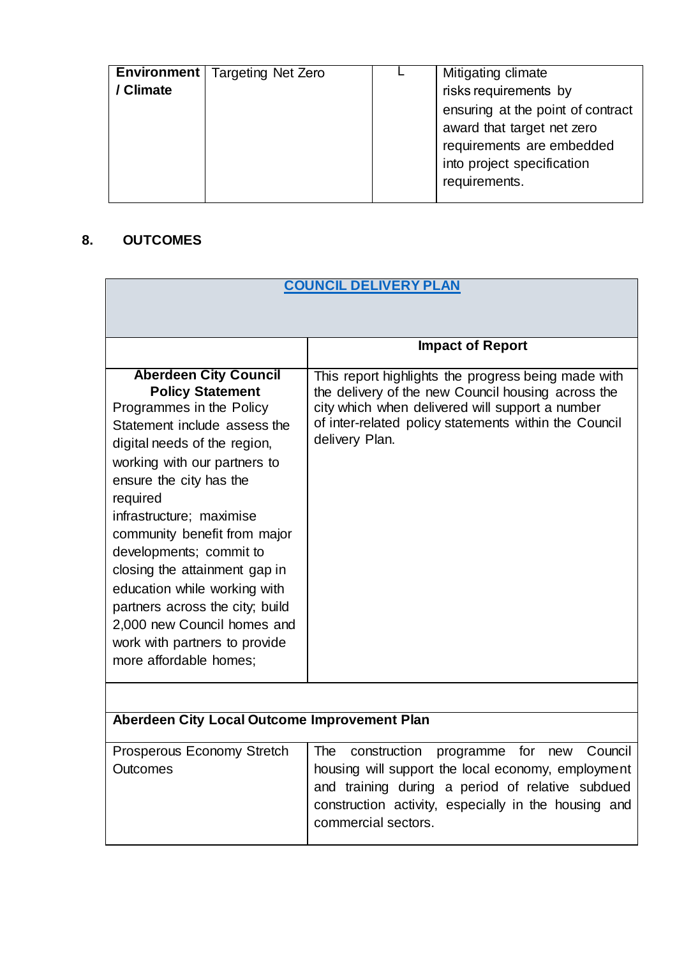| Environment | <b>Targeting Net Zero</b> | Mitigating climate                |
|-------------|---------------------------|-----------------------------------|
| / Climate   |                           | risks requirements by             |
|             |                           | ensuring at the point of contract |
|             |                           | award that target net zero        |
|             |                           | requirements are embedded         |
|             |                           | into project specification        |
|             |                           | requirements.                     |
|             |                           |                                   |

# **8. OUTCOMES**

| <b>COUNCIL DELIVERY PLAN</b>                                                                                                                                                                                                                                                                                                                                                                                                                                                                                    |                                                                                                                                                                                                                                                           |
|-----------------------------------------------------------------------------------------------------------------------------------------------------------------------------------------------------------------------------------------------------------------------------------------------------------------------------------------------------------------------------------------------------------------------------------------------------------------------------------------------------------------|-----------------------------------------------------------------------------------------------------------------------------------------------------------------------------------------------------------------------------------------------------------|
|                                                                                                                                                                                                                                                                                                                                                                                                                                                                                                                 |                                                                                                                                                                                                                                                           |
|                                                                                                                                                                                                                                                                                                                                                                                                                                                                                                                 |                                                                                                                                                                                                                                                           |
|                                                                                                                                                                                                                                                                                                                                                                                                                                                                                                                 | <b>Impact of Report</b>                                                                                                                                                                                                                                   |
| <b>Aberdeen City Council</b><br><b>Policy Statement</b><br>Programmes in the Policy<br>Statement include assess the<br>digital needs of the region,<br>working with our partners to<br>ensure the city has the<br>required<br>infrastructure; maximise<br>community benefit from major<br>developments; commit to<br>closing the attainment gap in<br>education while working with<br>partners across the city; build<br>2,000 new Council homes and<br>work with partners to provide<br>more affordable homes; | This report highlights the progress being made with<br>the delivery of the new Council housing across the<br>city which when delivered will support a number<br>of inter-related policy statements within the Council<br>delivery Plan.                   |
|                                                                                                                                                                                                                                                                                                                                                                                                                                                                                                                 |                                                                                                                                                                                                                                                           |
| Aberdeen City Local Outcome Improvement Plan                                                                                                                                                                                                                                                                                                                                                                                                                                                                    |                                                                                                                                                                                                                                                           |
| Prosperous Economy Stretch<br><b>Outcomes</b>                                                                                                                                                                                                                                                                                                                                                                                                                                                                   | Council<br><b>The</b><br>construction<br>programme<br>for<br>new<br>housing will support the local economy, employment<br>and training during a period of relative subdued<br>construction activity, especially in the housing and<br>commercial sectors. |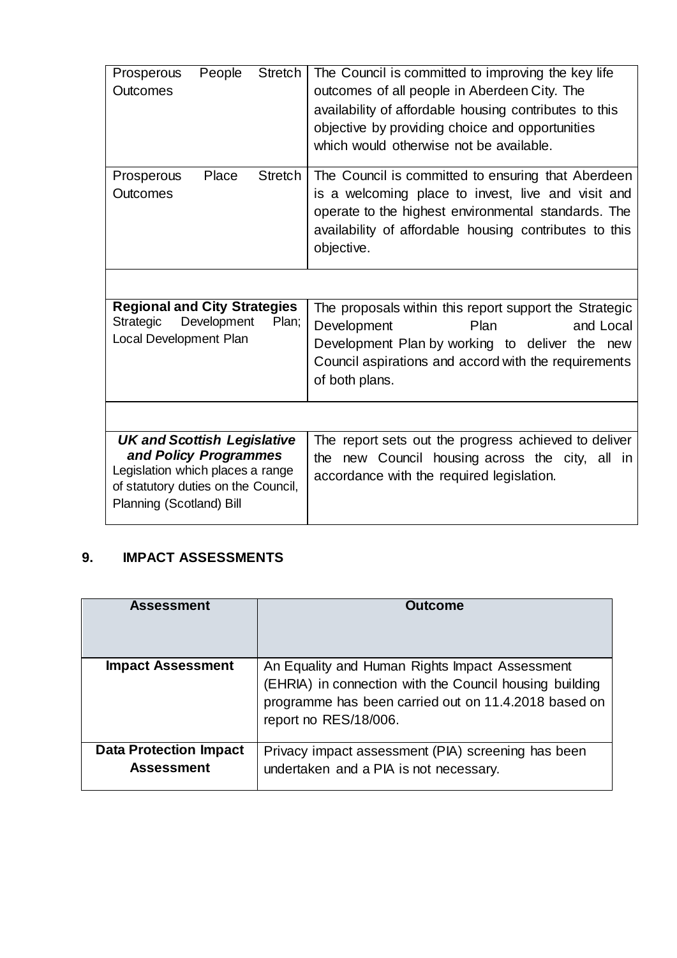| People<br><b>Stretch</b><br>Prosperous<br><b>Outcomes</b>                                                                                                          | The Council is committed to improving the key life<br>outcomes of all people in Aberdeen City. The<br>availability of affordable housing contributes to this<br>objective by providing choice and opportunities<br>which would otherwise not be available. |
|--------------------------------------------------------------------------------------------------------------------------------------------------------------------|------------------------------------------------------------------------------------------------------------------------------------------------------------------------------------------------------------------------------------------------------------|
| <b>Stretch</b><br>Place<br>Prosperous<br>Outcomes                                                                                                                  | The Council is committed to ensuring that Aberdeen<br>is a welcoming place to invest, live and visit and<br>operate to the highest environmental standards. The<br>availability of affordable housing contributes to this<br>objective.                    |
|                                                                                                                                                                    |                                                                                                                                                                                                                                                            |
| <b>Regional and City Strategies</b><br>Development<br>Plan:<br>Strategic<br>Local Development Plan                                                                 | The proposals within this report support the Strategic<br>Development<br>Plan<br>and Local<br>Development Plan by working to deliver the new<br>Council aspirations and accord with the requirements<br>of both plans.                                     |
|                                                                                                                                                                    |                                                                                                                                                                                                                                                            |
| <b>UK and Scottish Legislative</b><br>and Policy Programmes<br>Legislation which places a range<br>of statutory duties on the Council,<br>Planning (Scotland) Bill | The report sets out the progress achieved to deliver<br>new Council housing across the city, all in<br>the<br>accordance with the required legislation.                                                                                                    |

# **9. IMPACT ASSESSMENTS**

| <b>Assessment</b>                                  | Outcome                                                                                                                                                                                    |
|----------------------------------------------------|--------------------------------------------------------------------------------------------------------------------------------------------------------------------------------------------|
| <b>Impact Assessment</b>                           | An Equality and Human Rights Impact Assessment<br>(EHRIA) in connection with the Council housing building<br>programme has been carried out on 11.4.2018 based on<br>report no RES/18/006. |
| <b>Data Protection Impact</b><br><b>Assessment</b> | Privacy impact assessment (PIA) screening has been<br>undertaken and a PIA is not necessary.                                                                                               |